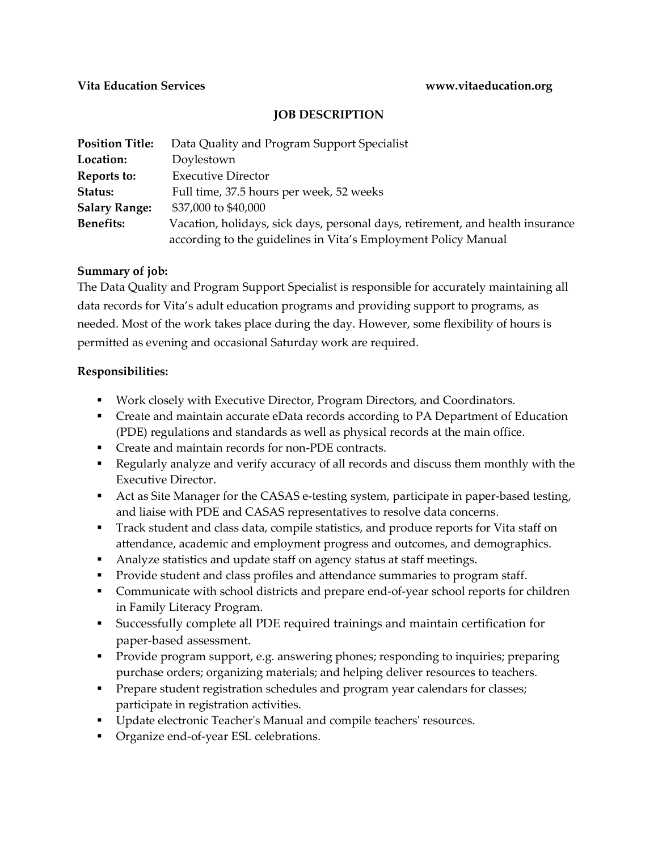### **JOB DESCRIPTION**

| <b>Position Title:</b> | Data Quality and Program Support Specialist                                    |
|------------------------|--------------------------------------------------------------------------------|
| Location:              | Doylestown                                                                     |
| Reports to:            | <b>Executive Director</b>                                                      |
| Status:                | Full time, 37.5 hours per week, 52 weeks                                       |
| <b>Salary Range:</b>   | \$37,000 to \$40,000                                                           |
| <b>Benefits:</b>       | Vacation, holidays, sick days, personal days, retirement, and health insurance |
|                        | according to the guidelines in Vita's Employment Policy Manual                 |

### **Summary of job:**

The Data Quality and Program Support Specialist is responsible for accurately maintaining all data records for Vita's adult education programs and providing support to programs, as needed. Most of the work takes place during the day. However, some flexibility of hours is permitted as evening and occasional Saturday work are required.

### **Responsibilities:**

- Work closely with Executive Director, Program Directors, and Coordinators.
- Create and maintain accurate eData records according to PA Department of Education (PDE) regulations and standards as well as physical records at the main office.
- Create and maintain records for non-PDE contracts.
- Regularly analyze and verify accuracy of all records and discuss them monthly with the Executive Director.
- Act as Site Manager for the CASAS e-testing system, participate in paper-based testing, and liaise with PDE and CASAS representatives to resolve data concerns.
- **Track student and class data, compile statistics, and produce reports for Vita staff on** attendance, academic and employment progress and outcomes, and demographics.
- Analyze statistics and update staff on agency status at staff meetings.
- **Provide student and class profiles and attendance summaries to program staff.**
- Communicate with school districts and prepare end-of-year school reports for children in Family Literacy Program.
- Successfully complete all PDE required trainings and maintain certification for paper-based assessment.
- Provide program support, e.g. answering phones; responding to inquiries; preparing purchase orders; organizing materials; and helping deliver resources to teachers.
- **Prepare student registration schedules and program year calendars for classes;** participate in registration activities.
- **Update electronic Teacher's Manual and compile teachers' resources.**
- **•** Organize end-of-year ESL celebrations.